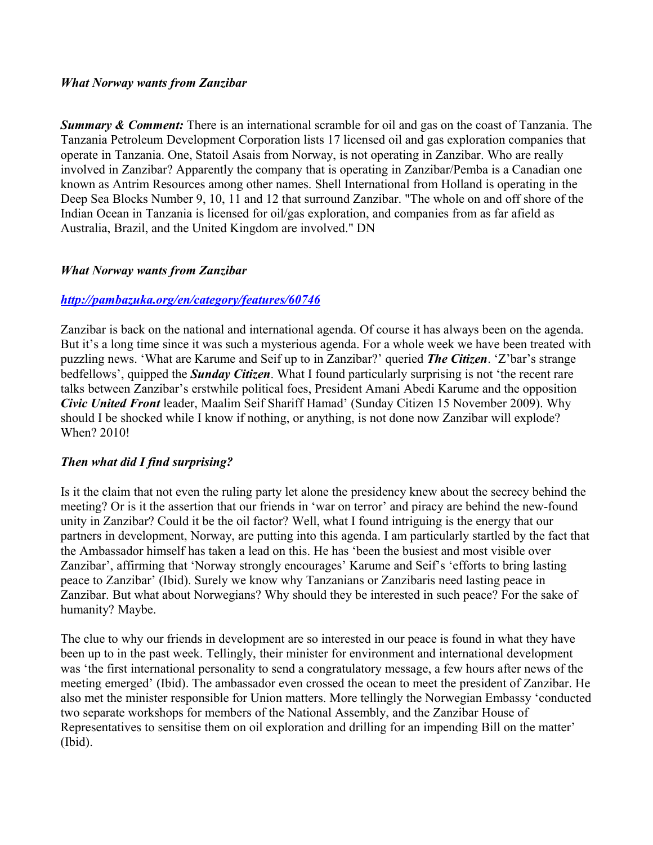#### *What Norway wants from Zanzibar*

*Summary & Comment:* There is an international scramble for oil and gas on the coast of Tanzania. The Tanzania Petroleum Development Corporation lists 17 licensed oil and gas exploration companies that operate in Tanzania. One, Statoil Asais from Norway, is not operating in Zanzibar. Who are really involved in Zanzibar? Apparently the company that is operating in Zanzibar/Pemba is a Canadian one known as Antrim Resources among other names. Shell International from Holland is operating in the Deep Sea Blocks Number 9, 10, 11 and 12 that surround Zanzibar. "The whole on and off shore of the Indian Ocean in Tanzania is licensed for oil/gas exploration, and companies from as far afield as Australia, Brazil, and the United Kingdom are involved." DN

#### *What Norway wants from Zanzibar*

## *<http://pambazuka.org/en/category/features/60746>*

Zanzibar is back on the national and international agenda. Of course it has always been on the agenda. But it's a long time since it was such a mysterious agenda. For a whole week we have been treated with puzzling news. 'What are Karume and Seif up to in Zanzibar?' queried *The Citizen*. 'Z'bar's strange bedfellows', quipped the *Sunday Citizen*. What I found particularly surprising is not 'the recent rare talks between Zanzibar's erstwhile political foes, President Amani Abedi Karume and the opposition *Civic United Front* leader, Maalim Seif Shariff Hamad' (Sunday Citizen 15 November 2009). Why should I be shocked while I know if nothing, or anything, is not done now Zanzibar will explode? When? 2010!

## *Then what did I find surprising?*

Is it the claim that not even the ruling party let alone the presidency knew about the secrecy behind the meeting? Or is it the assertion that our friends in 'war on terror' and piracy are behind the new-found unity in Zanzibar? Could it be the oil factor? Well, what I found intriguing is the energy that our partners in development, Norway, are putting into this agenda. I am particularly startled by the fact that the Ambassador himself has taken a lead on this. He has 'been the busiest and most visible over Zanzibar', affirming that 'Norway strongly encourages' Karume and Seif's 'efforts to bring lasting peace to Zanzibar' (Ibid). Surely we know why Tanzanians or Zanzibaris need lasting peace in Zanzibar. But what about Norwegians? Why should they be interested in such peace? For the sake of humanity? Maybe.

The clue to why our friends in development are so interested in our peace is found in what they have been up to in the past week. Tellingly, their minister for environment and international development was 'the first international personality to send a congratulatory message, a few hours after news of the meeting emerged' (Ibid). The ambassador even crossed the ocean to meet the president of Zanzibar. He also met the minister responsible for Union matters. More tellingly the Norwegian Embassy 'conducted two separate workshops for members of the National Assembly, and the Zanzibar House of Representatives to sensitise them on oil exploration and drilling for an impending Bill on the matter' (Ibid).